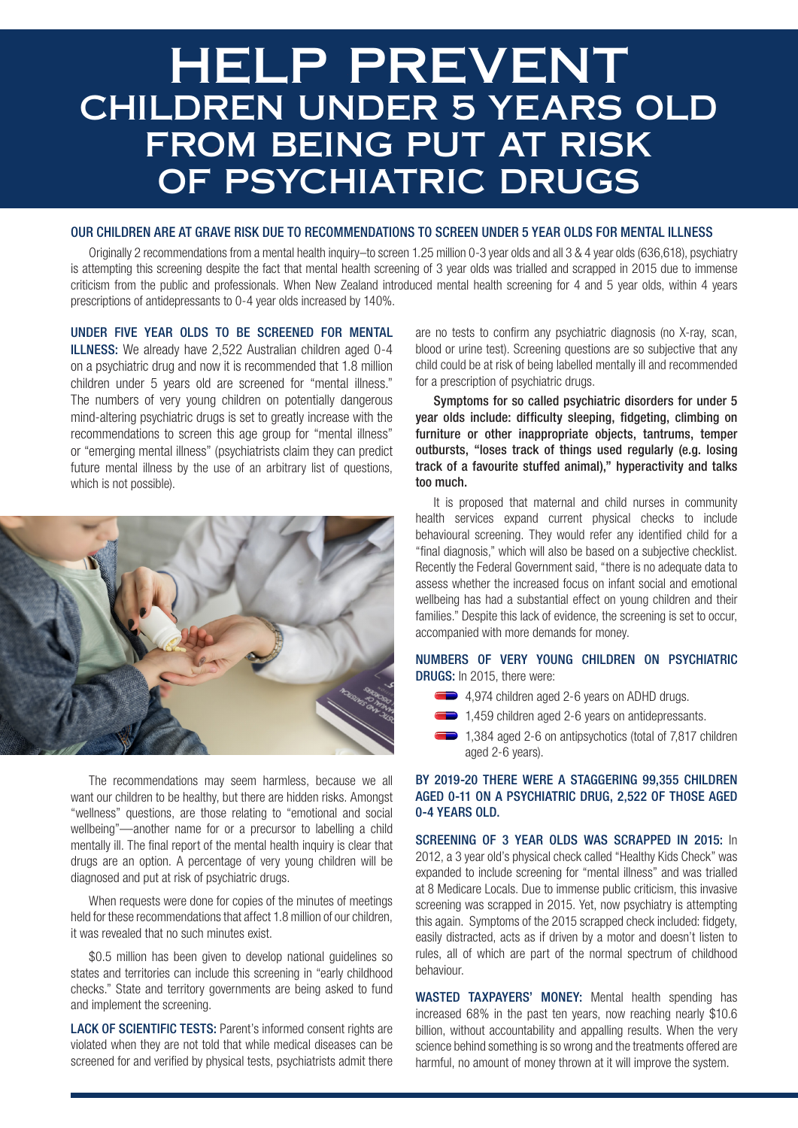# HELP PREVENT CHILDREN UNDER 5 YEARS OLD FROM BEING PUT AT RISK OF PSYCHIATRIC DRUGS

#### OUR CHILDREN ARE AT GRAVE RISK DUE TO RECOMMENDATIONS TO SCREEN UNDER 5 YEAR OLDS FOR MENTAL ILLNESS

Originally 2 recommendations from a mental health inquiry–to screen 1.25 million 0-3 year olds and all 3 & 4 year olds (636,618), psychiatry is attempting this screening despite the fact that mental health screening of 3 year olds was trialled and scrapped in 2015 due to immense criticism from the public and professionals. When New Zealand introduced mental health screening for 4 and 5 year olds, within 4 years prescriptions of antidepressants to 0-4 year olds increased by 140%.

# UNDER FIVE YEAR OLDS TO BE SCREENED FOR MENTAL

ILLNESS: We already have 2,522 Australian children aged 0-4 on a psychiatric drug and now it is recommended that 1.8 million children under 5 years old are screened for "mental illness." The numbers of very young children on potentially dangerous mind-altering psychiatric drugs is set to greatly increase with the recommendations to screen this age group for "mental illness" or "emerging mental illness" (psychiatrists claim they can predict future mental illness by the use of an arbitrary list of questions, which is not possible).



The recommendations may seem harmless, because we all want our children to be healthy, but there are hidden risks. Amongst "wellness" questions, are those relating to "emotional and social wellbeing"—another name for or a precursor to labelling a child mentally ill. The final report of the mental health inquiry is clear that drugs are an option. A percentage of very young children will be diagnosed and put at risk of psychiatric drugs.

When requests were done for copies of the minutes of meetings held for these recommendations that affect 1.8 million of our children, it was revealed that no such minutes exist.

\$0.5 million has been given to develop national guidelines so states and territories can include this screening in "early childhood checks." State and territory governments are being asked to fund and implement the screening.

LACK OF SCIENTIFIC TESTS: Parent's informed consent rights are violated when they are not told that while medical diseases can be screened for and verified by physical tests, psychiatrists admit there are no tests to confirm any psychiatric diagnosis (no X-ray, scan, blood or urine test). Screening questions are so subjective that any child could be at risk of being labelled mentally ill and recommended for a prescription of psychiatric drugs.

Symptoms for so called psychiatric disorders for under 5 year olds include: difficulty sleeping, fidgeting, climbing on furniture or other inappropriate objects, tantrums, temper outbursts, "loses track of things used regularly (e.g. losing track of a favourite stuffed animal)," hyperactivity and talks too much.

It is proposed that maternal and child nurses in community health services expand current physical checks to include behavioural screening. They would refer any identified child for a "final diagnosis," which will also be based on a subjective checklist. Recently the Federal Government said, "there is no adequate data to assess whether the increased focus on infant social and emotional wellbeing has had a substantial effect on young children and their families." Despite this lack of evidence, the screening is set to occur, accompanied with more demands for money.

# NUMBERS OF VERY YOUNG CHILDREN ON PSYCHIATRIC DRUGS: In 2015, there were:

- 4,974 children aged 2-6 years on ADHD drugs.
- 1,459 children aged 2-6 years on antidepressants.
- 1,384 aged 2-6 on antipsychotics (total of 7,817 children aged 2-6 years).

# BY 2019-20 THERE WERE A STAGGERING 99,355 CHILDREN AGED 0-11 ON A PSYCHIATRIC DRUG, 2,522 OF THOSE AGED 0-4 YEARS OLD.

SCREENING OF 3 YEAR OLDS WAS SCRAPPED IN 2015: In 2012, a 3 year old's physical check called "Healthy Kids Check" was expanded to include screening for "mental illness" and was trialled at 8 Medicare Locals. Due to immense public criticism, this invasive screening was scrapped in 2015. Yet, now psychiatry is attempting this again. Symptoms of the 2015 scrapped check included: fidgety, easily distracted, acts as if driven by a motor and doesn't listen to rules, all of which are part of the normal spectrum of childhood behaviour.

WASTED TAXPAYERS' MONEY: Mental health spending has increased 68% in the past ten years, now reaching nearly \$10.6 billion, without accountability and appalling results. When the very science behind something is so wrong and the treatments offered are harmful, no amount of money thrown at it will improve the system.